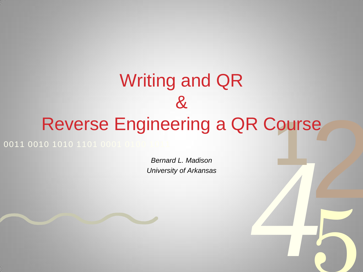# *4* e<br>1<br>1<br>1 **10 1010 1101 0001 Course Engineering a QR Course**<br> **10 1010 1101 0001 Concernate L. Madison**<br>
University of Arkansas 0011 0010 1010 1101 0001 Writing and QR &

*Bernard L. Madison University of Arkansas*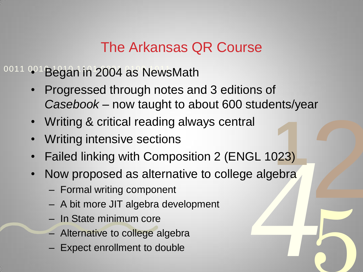# The Arkansas QR Course

 $10011$   $001$  Began in 2004 as NewsMath

- 2 • Progressed through notes and 3 editions of *Casebook* – now taught to about 600 students/year
- Writing & critical reading always central
- **Writing intensive sections**
- **1**<br>023)<br>ebra • Failed linking with Composition 2 (ENGL 1023)
- *4* • Now proposed as alternative to college algebra

- Formal writing component
- A bit more JIT algebra development
- In State minimum core
- Alternative to college algebra
- Expect enrollment to double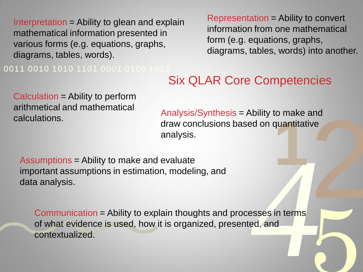Interpretation = Ability to glean and explain mathematical information presented in various forms (e.g. equations, graphs, diagrams, tables, words).

0011 0010 1010 1101 0001 0100 101

Representation = Ability to convert information from one mathematical form (e.g. equations, graphs, diagrams, tables, words) into another.

5

#### Six QLAR Core Competencies

Calculation = Ability to perform arithmetical and mathematical calculations.

and<br>ve<br>|<br>|<br>| **1** Analysis/Synthesis = Ability to make and draw conclusions based on quantitative analysis.

Assumptions = Ability to make and evaluate important assumptions in estimation, modeling, and data analysis.

esses in terms<br>ed, and<br>and Communication = Ability to explain thoughts and processes in terms of what evidence is used, how it is organized, presented, and contextualized.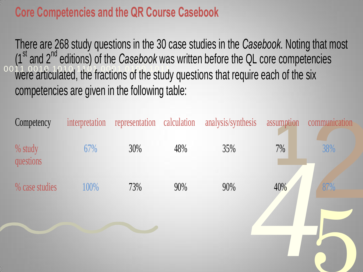# **Core Competencies and the QR Course Casebook**

0011 0010 1010 1101 0001 0100 1011 There are 268 study questions in the 30 case studies in the *Casebook*. Noting that most (1<sup>st</sup> and 2<sup>nd</sup> editions) of the *Casebook* was written before the QL core competencies were articulated, the fractions of the study questions that require each of the six competencies are given in the following table:

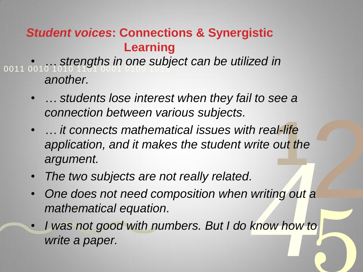## *Student voices***: Connections & Synergistic Learning**

0011 0010 1010 1101 0001 0100 1011 • *… strengths in one subject can be utilized in another.*

- *… students lose interest when they fail to see a connection between various subjects.*
- al-life<br>out the<br>**1** • *… it connects mathematical issues with real-life application, and it makes the student write out the argument.*
- *The two subjects are not really related.*
- 2 • *One does not need composition when writing out a mathematical equation.*
- Frite out the<br>Writing out a<br>Know how to 5 • *I was not good with numbers. But I do know how to write a paper.*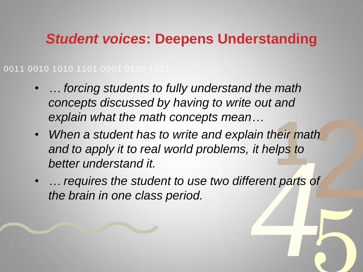# *Student voices***: Deepens Understanding**

#### 0011 0010 1010 1101 0001 0100 1011

- *… forcing students to fully understand the math concepts discussed by having to write out and explain what the math concepts mean…*
- *it helps to*<br>erent parts of  $\begin{array}{c}\n\hline\n\text{d} \\
\hline\n\text{d} \\
\hline\n\text{d}\n\end{array}$ heir mat<br><mark>elps to</mark> • *When a student has to write and explain their math and to apply it to real world problems, it helps to better understand it.*
- 5 • *… requires the student to use two different parts of the brain in one class period.*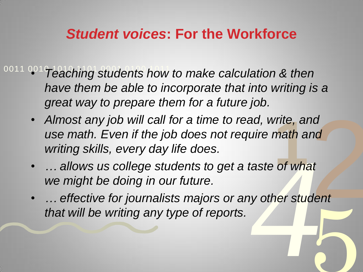# *Student voices***: For the Workforce**

- 0011 001 Teaching students how to make calculation & then *have them be able to incorporate that into writing is a great way to prepare them for a future job.*
	- nd<br>nd<br>dent<br>dent *rite, and*<br>math and<br>intity of what • *Almost any job will call for a time to read, write, and use math. Even if the job does not require math and writing skills, every day life does.*
	- *… allows us college students to get a taste of what we might be doing in our future.*
	- aste of what<br>y other student dent<br>|<br>|<br>|<br>| • *… effective for journalists majors or any other student that will be writing any type of reports.*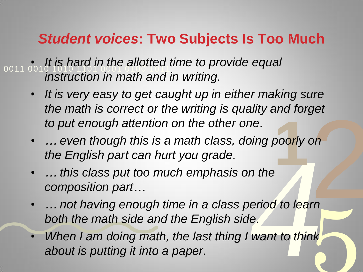# *Student voices***: Two Subjects Is Too Much**

0011 0010 1010 1101 0001 0100 1011 • *It is hard in the allotted time to provide equal instruction in math and in writing.*

- *It is very easy to get caught up in either making sure the math is correct or the writing is quality and forget to put enough attention on the other one.*
- $\begin{array}{c}\n\frac{1}{2} \\
\frac{1}{2} \\
\frac{1}{2} \\
\frac{1}{2} \\
\frac{1}{2} \\
\frac{1}{2} \\
\frac{1}{2} \\
\frac{1}{2} \\
\frac{1}{2} \\
\frac{1}{2} \\
\frac{1}{2} \\
\frac{1}{2} \\
\frac{1}{2} \\
\frac{1}{2} \\
\frac{1}{2} \\
\frac{1}{2} \\
\frac{1}{2} \\
\frac{1}{2} \\
\frac{1}{2} \\
\frac{1}{2} \\
\frac{1}{2} \\
\frac{1}{2} \\
\frac{1}{2} \\
\frac{1}{2} \\
\frac{1}{2} \\
\frac{1}{2} \\
\frac{1$ **1**<br>**1**<br>**1**<br>**1**<br>**1** • *… even though this is a math class, doing poorly on the English part can hurt you grade.*
- *… this class put too much emphasis on the composition part…*
- *n* the<br>eriod to learn<br>e.<br>want to think 5 • *… not having enough time in a class period to learn both the math side and the English side.*
- *When I am doing math, the last thing I want to think about is putting it into a paper.*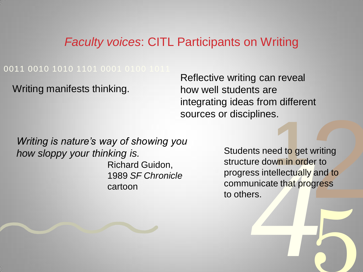#### *Faculty voices*: CITL Participants on Writing

#### 0011 0010 1010 1101 0001 0100 1011

Writing manifests thinking.

Reflective writing can reveal how well students are integrating ideas from different sources or disciplines.

*Writing is nature's way of showing you how sloppy your thinking is.*  Richard Guidon, 1989 *SF Chronicle*  cartoon

The state of the state of the state of the state of the state of the state of the state of the state of the state of the state of the state of the state of the state of the state of the state of the state of the state of t writing<br>er to<br>and to<br>gress 5 **1** disciplifies.<br>
Students need to get writing<br>
structure down in order to<br>
progress intellectually and to Students need to get writing structure down in order to communicate that progress to others.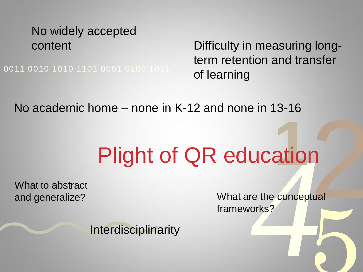# No widely accepted

0011 0010 1010 1101 0001 0100 1011

content Difficulty in measuring longterm retention and transfer of learning

No academic home – none in K-12 and none in 13-16

# *4* atior Plight of QR education

What to abstract

2 5 and generalize? What are the conceptual frameworks?

**Interdisciplinarity**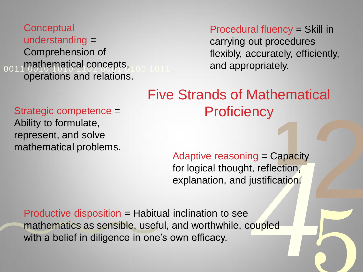#### 0011 mathematical concepts, 100 1011 **Conceptual** understanding = Comprehension of operations and relations.

Strategic competence =

mathematical problems.

Ability to formulate,

represent, and solve

Procedural fluency = Skill in carrying out procedures flexibly, accurately, efficiently, and appropriately.

5

# 2 Five Strands of Mathematical **Proficiency**

*4* **1**<br>Capacity<br>ection, Adaptive reasoning = Capacity for logical thought, reflection, explanation, and justification/

Productive disposition = Habitual inclination to see mathematics as sensible, useful, and worthwhile, coupled with a belief in diligence in one's own efficacy.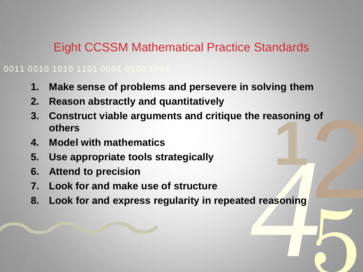#### Eight CCSSM Mathematical Practice Standards

0011 0010 1010 1101 0001 0100 1011

- **1. Make sense of problems and persevere in solving them**
- **2. Reason abstractly and quantitatively**
- 2 asoning<br>**1 3. Construct viable arguments and critique the reasoning of others**
- **4. Model with mathematics**
- **5. Use appropriate tools strategically**
- **6. Attend to precision**
- **7. Look for and make use of structure**
- d reasoning **8. Look for and express regularity in repeated reasoning**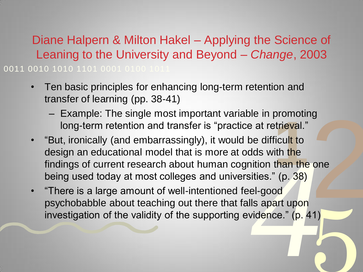0011 0010 1010 1101 0001 0100 101 Diane Halpern & Milton Hakel – Applying the Science of Leaning to the University and Beyond – *Change*, 2003

- Ten basic principles for enhancing long-term retention and transfer of learning (pp. 38-41)
	- Example: The single most important variable in promoting long-term retention and transfer is "practice at retrieval."
- *Ads with the*<br>ition than the one<br>ities." (p. 38)<br>el-good<br>Is apart upon<br>vidence." (p. 41) g<br>
One<br>
2<br>
2<br>
2<br>
2<br>
2<br>
2<br>
2<br>
3<br>
2<br>
3<br>
3<br>
3<br><br> promount<br>
itrieval."<br>
ficult to<br>
ith the<br>
than the • "But, ironically (and embarrassingly), it would be difficult to design an educational model that is more at odds with the findings of current research about human cognition than the one being used today at most colleges and universities." (p. 38)
- 5 • "There is a large amount of well-intentioned feel-good psychobabble about teaching out there that falls apart upon investigation of the validity of the supporting evidence." (p. 41)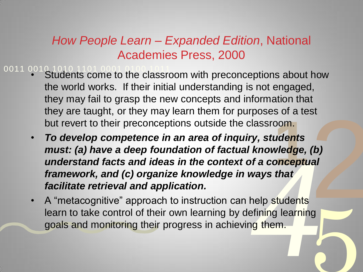### *How People Learn – Expanded Edition*, National Academies Press, 2000

- 0011 0010 1010 1101 0001 0100 1011 • Students come to the classroom with preconceptions about how the world works. If their initial understanding is not engaged, they may fail to grasp the new concepts and information that they are taught, or they may learn them for purposes of a test but revert to their preconceptions outside the classroom.
	- *4* 2 **1** • *To develop competence in an area of inquiry, students must: (a) have a deep foundation of factual knowledge, (b) understand facts and ideas in the context of a conceptual framework, and (c) organize knowledge in ways that facilitate retrieval and application.*
	- 5 • A "metacognitive" approach to instruction can help students learn to take control of their own learning by defining learning goals and monitoring their progress in achieving them.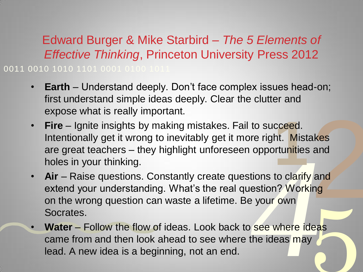0011 0010 1010 1101 0001 0100 1011 Edward Burger & Mike Starbird *– The 5 Elements of Effective Thinking*, Princeton University Press 2012

- **Earth** Understand deeply. Don't face complex issues head-on; first understand simple ideas deeply. Clear the clutter and expose what is really important.
- cceed.<br>ht. Mista<br>irtunities<br>to clarify. • **Fire** – Ignite insights by making mistakes. Fail to succeed. Intentionally get it wrong to inevitably get it more right. Mistakes are great teachers – they highlight unforeseen opportunities and holes in your thinking.
- opportunities and<br>tions to clarify and<br>estion? Working<br>your own<br>see where ideas<br>the ideas may akes<br>and<br>and<br>ing • **Air** – Raise questions. Constantly create questions to clarify and extend your understanding. What's the real question? Working on the wrong question can waste a lifetime. Be your own Socrates.
- 5 • **Water** – Follow the flow of ideas. Look back to see where ideas came from and then look ahead to see where the ideas may lead. A new idea is a beginning, not an end.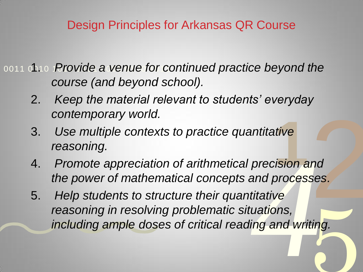### Design Principles for Arkansas QR Course

0011 0010 *Provide a venue for continued practice beyond the course (and beyond school).*

- 2. *Keep the material relevant to students' everyday contemporary world.*
- 3. *Use multiple contexts to practice quantitative reasoning.*
- ntive<br>*ision* ar 4. *Promote appreciation of arithmetical precision and the power of mathematical concepts and processes.*
- precision and<br>and processes.<br>titative<br>uations,<br>ing and writing. nd<br>ses.<br>2002 ting. 5. *Help students to structure their quantitative reasoning in resolving problematic situations, including ample doses of critical reading and writing.*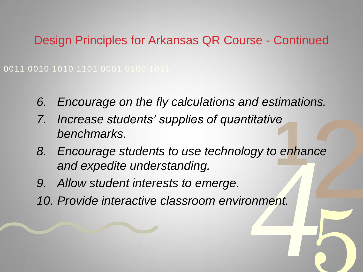Design Principles for Arkansas QR Course - Continued

0011 0010 1010 1101 0001 0100 1011

- *6. Encourage on the fly calculations and estimations.*
- *7. Increase students' supplies of quantitative benchmarks.*
- *4* 2 re<br>b e<mark>nhan</mark> *8. Encourage students to use technology to enhance and expedite understanding.*

- *9. Allow student interests to emerge.*
- *10. Provide interactive classroom environment.*